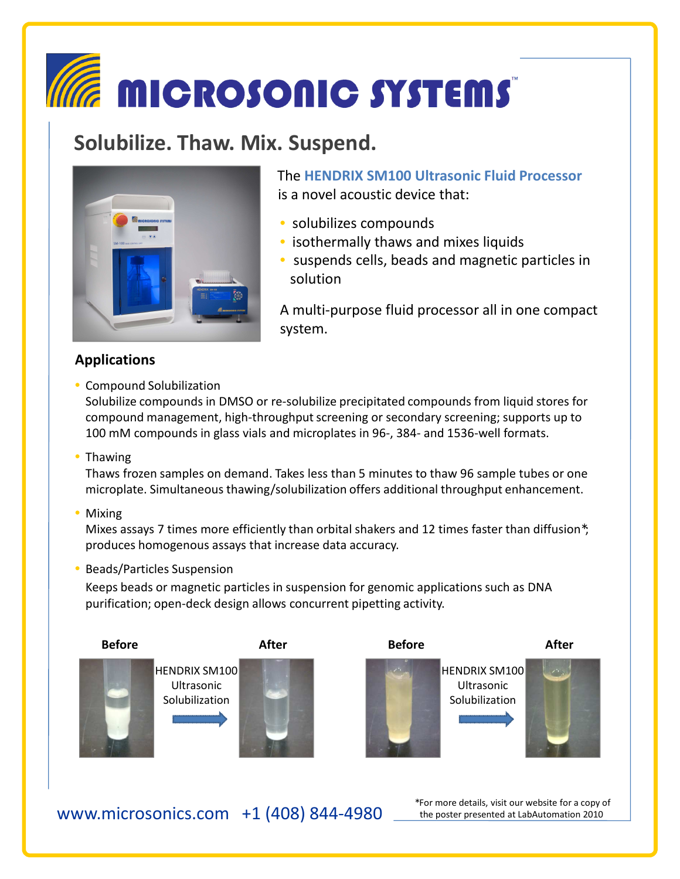# **MICROSONIC SYSTEMS**

## **Solubilize. Thaw. Mix. Suspend.**



The **HENDRIX SM100 Ultrasonic Fluid Processor**  is a novel acoustic device that:

- solubilizes compounds
- isothermally thaws and mixes liquids
- suspends cells, beads and magnetic particles in solution

A multi-purpose fluid processor all in one compact system.

#### **Applications**

• Compound Solubilization

Solubilize compounds in DMSO or re-solubilize precipitated compounds from liquid stores for compound management, high-throughput screening or secondary screening; supports up to 100 mM compounds in glass vials and microplates in 96-, 384- and 1536-well formats.

• Thawing

Thaws frozen samples on demand. Takes less than 5 minutes to thaw 96 sample tubes or one microplate. Simultaneous thawing/solubilization offers additional throughput enhancement.

• Mixing

Mixes assays 7 times more efficiently than orbital shakers and 12 times faster than diffusion<sup>\*</sup>; produces homogenous assays that increase data accuracy.

• Beads/Particles Suspension

Keeps beads or magnetic particles in suspension for genomic applications such as DNA purification; open-deck design allows concurrent pipetting activity.



www.microsonics.com +1 (408) 844-4980

<sup>∗</sup> For more details, visit our website for a copy of the poster presented at LabAutomation 2010